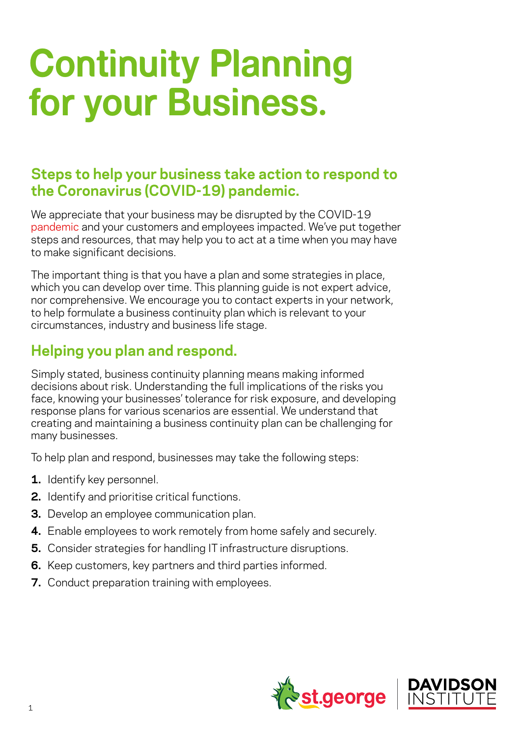## **Continuity Planning for your Business.**

## **Steps to help your business take action to respond to the Coronavirus (COVID-19) pandemic.**

We appreciate that your business may be disrupted by the COVID-19 [pandemic](https://www.who.int/dg/speeches/detail/who-director-general-s-opening-remarks-at-the-media-briefing-on-covid-19---11-march-2020) and your customers and employees impacted. We've put together steps and resources, that may help you to act at a time when you may have to make significant decisions.

The important thing is that you have a plan and some strategies in place, which you can develop over time. This planning guide is not expert advice, nor comprehensive. We encourage you to contact experts in your network, to help formulate a business continuity plan which is relevant to your circumstances, industry and business life stage.

## **Helping you plan and respond.**

Simply stated, business continuity planning means making informed decisions about risk. Understanding the full implications of the risks you face, knowing your businesses' tolerance for risk exposure, and developing response plans for various scenarios are essential. We understand that creating and maintaining a business continuity plan can be challenging for many businesses.

To help plan and respond, businesses may take the following steps:

- **1.** Identify key personnel.
- **2.** Identify and prioritise critical functions.
- **3.** Develop an employee communication plan.
- **4.** Enable employees to work remotely from home safely and securely.
- **5.** Consider strategies for handling IT infrastructure disruptions.
- **6.** Keep customers, key partners and third parties informed.
- **7.** Conduct preparation training with employees.

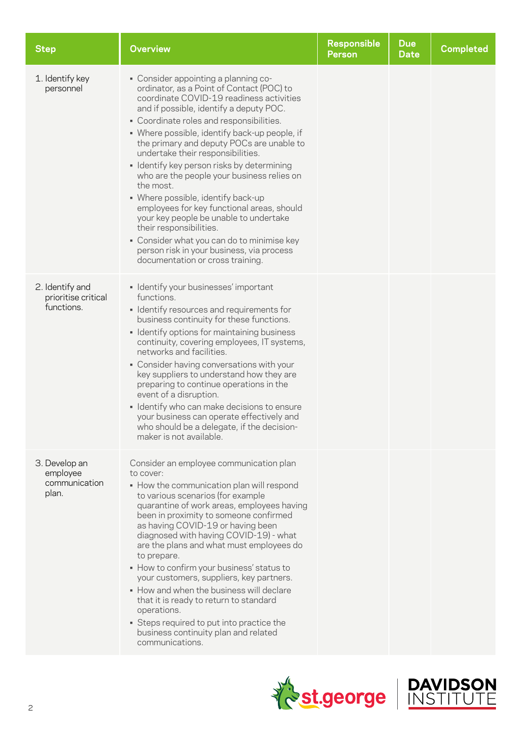| <b>Step</b>                                          | <b>Overview</b>                                                                                                                                                                                                                                                                                                                                                                                                                                                                                                                                                                                                                                                                                                                                          | <b>Responsible</b><br><b>Person</b> | <b>Due</b><br><b>Date</b> | <b>Completed</b> |
|------------------------------------------------------|----------------------------------------------------------------------------------------------------------------------------------------------------------------------------------------------------------------------------------------------------------------------------------------------------------------------------------------------------------------------------------------------------------------------------------------------------------------------------------------------------------------------------------------------------------------------------------------------------------------------------------------------------------------------------------------------------------------------------------------------------------|-------------------------------------|---------------------------|------------------|
| 1. Identify key<br>personnel                         | • Consider appointing a planning co-<br>ordinator, as a Point of Contact (POC) to<br>coordinate COVID-19 readiness activities<br>and if possible, identify a deputy POC.<br>• Coordinate roles and responsibilities.<br>• Where possible, identify back-up people, if<br>the primary and deputy POCs are unable to<br>undertake their responsibilities.<br>· Identify key person risks by determining<br>who are the people your business relies on<br>the most.<br>• Where possible, identify back-up<br>employees for key functional areas, should<br>your key people be unable to undertake<br>their responsibilities.<br>• Consider what you can do to minimise key<br>person risk in your business, via process<br>documentation or cross training. |                                     |                           |                  |
| 2. Identify and<br>prioritise critical<br>functions. | · Identify your businesses' important<br>functions.<br>• Identify resources and requirements for<br>business continuity for these functions.<br>• Identify options for maintaining business<br>continuity, covering employees, IT systems,<br>networks and facilities.<br>• Consider having conversations with your<br>key suppliers to understand how they are<br>preparing to continue operations in the<br>event of a disruption.<br>· Identify who can make decisions to ensure<br>your business can operate effectively and<br>who should be a delegate, if the decision-<br>maker is not available.                                                                                                                                                |                                     |                           |                  |
| 3. Develop an<br>employee<br>communication<br>plan.  | Consider an employee communication plan<br>to cover:<br>• How the communication plan will respond<br>to various scenarios (for example<br>quarantine of work areas, employees having<br>been in proximity to someone confirmed<br>as having COVID-19 or having been<br>diagnosed with having COVID-19) - what<br>are the plans and what must employees do<br>to prepare.<br>• How to confirm your business' status to<br>your customers, suppliers, key partners.<br>. How and when the business will declare<br>that it is ready to return to standard<br>operations.<br>• Steps required to put into practice the<br>business continuity plan and related<br>communications.                                                                           |                                     |                           |                  |



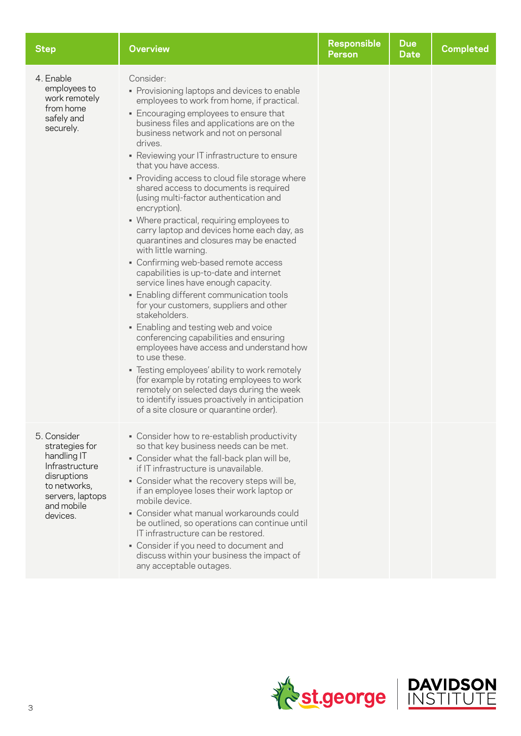| <b>Step</b>                                                                                                                                 | <b>Overview</b>                                                                                                                                                                                                                                                                                                                                                                                                                                                                                                                                                                                                                                                                                                                                                                                                                                                                                                                                                                                                                                                                                                                                                                                                                                                           | <b>Responsible</b><br><b>Person</b> | <b>Due</b><br><b>Date</b> | <b>Completed</b> |
|---------------------------------------------------------------------------------------------------------------------------------------------|---------------------------------------------------------------------------------------------------------------------------------------------------------------------------------------------------------------------------------------------------------------------------------------------------------------------------------------------------------------------------------------------------------------------------------------------------------------------------------------------------------------------------------------------------------------------------------------------------------------------------------------------------------------------------------------------------------------------------------------------------------------------------------------------------------------------------------------------------------------------------------------------------------------------------------------------------------------------------------------------------------------------------------------------------------------------------------------------------------------------------------------------------------------------------------------------------------------------------------------------------------------------------|-------------------------------------|---------------------------|------------------|
| 4. Enable<br>employees to<br>work remotely<br>from home<br>safely and<br>securely.                                                          | Consider:<br>• Provisioning laptops and devices to enable<br>employees to work from home, if practical.<br>• Encouraging employees to ensure that<br>business files and applications are on the<br>business network and not on personal<br>drives.<br>• Reviewing your IT infrastructure to ensure<br>that you have access.<br>• Providing access to cloud file storage where<br>shared access to documents is required<br>(using multi-factor authentication and<br>encryption).<br>• Where practical, requiring employees to<br>carry laptop and devices home each day, as<br>quarantines and closures may be enacted<br>with little warning.<br>• Confirming web-based remote access<br>capabilities is up-to-date and internet<br>service lines have enough capacity.<br>• Enabling different communication tools<br>for your customers, suppliers and other<br>stakeholders.<br>• Enabling and testing web and voice<br>conferencing capabilities and ensuring<br>employees have access and understand how<br>to use these.<br>• Testing employees' ability to work remotely<br>(for example by rotating employees to work<br>remotely on selected days during the week<br>to identify issues proactively in anticipation<br>of a site closure or quarantine order). |                                     |                           |                  |
| 5. Consider<br>strategies for<br>handling IT<br>Infrastructure<br>disruptions<br>to networks,<br>servers, laptops<br>and mobile<br>devices. | • Consider how to re-establish productivity<br>so that key business needs can be met.<br>. Consider what the fall-back plan will be,<br>if IT infrastructure is unavailable.<br>. Consider what the recovery steps will be,<br>if an employee loses their work laptop or<br>mobile device.<br>• Consider what manual workarounds could<br>be outlined, so operations can continue until<br>IT infrastructure can be restored.<br>• Consider if you need to document and<br>discuss within your business the impact of<br>any acceptable outages.                                                                                                                                                                                                                                                                                                                                                                                                                                                                                                                                                                                                                                                                                                                          |                                     |                           |                  |

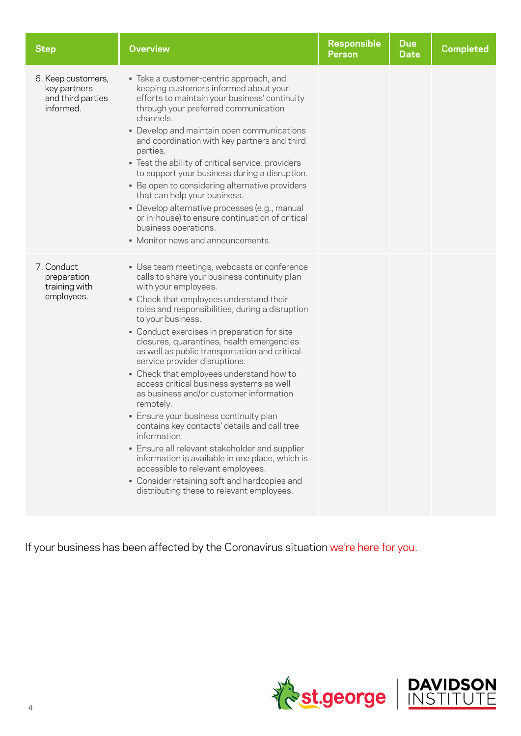| <b>Step</b>                                                          | <b>Overview</b>                                                                                                                                                                                                                                                                                                                                                                                                                                                                                                                                                                                                                                                                                                                                                                                                                                                                                                       | <b>Responsible</b><br><b>Person</b> | <b>Due</b><br>Date | <b>Completed</b> |
|----------------------------------------------------------------------|-----------------------------------------------------------------------------------------------------------------------------------------------------------------------------------------------------------------------------------------------------------------------------------------------------------------------------------------------------------------------------------------------------------------------------------------------------------------------------------------------------------------------------------------------------------------------------------------------------------------------------------------------------------------------------------------------------------------------------------------------------------------------------------------------------------------------------------------------------------------------------------------------------------------------|-------------------------------------|--------------------|------------------|
| 6. Keep customers,<br>key partners<br>and third parties<br>informed. | · Take a customer-centric approach, and<br>keeping customers informed about your<br>efforts to maintain your business' continuity<br>through your preferred communication<br>channels.<br>• Develop and maintain open communications<br>and coordination with key partners and third<br>parties.<br>. Test the ability of critical service. providers<br>to support your business during a disruption.<br>• Be open to considering alternative providers<br>that can help your business.<br>· Develop alternative processes (e.g., manual<br>or in-house) to ensure continuation of critical<br>business operations.<br>• Monitor news and announcements.                                                                                                                                                                                                                                                             |                                     |                    |                  |
| 7. Conduct<br>preparation<br>training with<br>employees.             | • Use team meetings, webcasts or conference<br>calls to share your business continuity plan<br>with your employees.<br>• Check that employees understand their<br>roles and responsibilities, during a disruption<br>to your business.<br>• Conduct exercises in preparation for site<br>closures, quarantines, health emergencies<br>as well as public transportation and critical<br>service provider disruptions.<br>• Check that employees understand how to<br>access critical business systems as well<br>as business and/or customer information<br>remotely.<br>• Ensure your business continuity plan<br>contains key contacts' details and call tree<br>information.<br>. Ensure all relevant stakeholder and supplier<br>information is available in one place, which is<br>accessible to relevant employees.<br>• Consider retaining soft and hardcopies and<br>distributing these to relevant employees. |                                     |                    |                  |

If your business has been affected by the Coronavirus situation we're [here for you.](http://www.Stgeorge.com.au/covid-19)